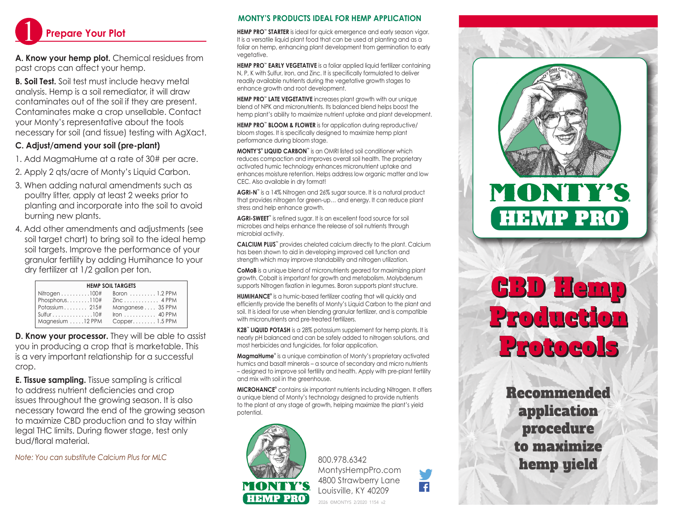

**A. Know your hemp plot.** Chemical residues from past crops can affect your hemp.

**B. Soil Test.** Soil test must include heavy metal analysis. Hemp is a soil remediator, it will draw contaminates out of the soil if they are present. Contaminates make a crop unsellable. Contact your Monty's representative about the tools necessary for soil (and tissue) testing with AgXact.

## **C. Adjust/amend your soil (pre-plant)**

- 1. Add MagmaHume at a rate of 30# per acre.
- 2. Apply 2 qts/acre of Monty's Liquid Carbon.
- 3. When adding natural amendments such as poultry litter, apply at least 2 weeks prior to planting and incorporate into the soil to avoid burning new plants.
- 4. Add other amendments and adjustments (see soil target chart) to bring soil to the ideal hemp soil targets. Improve the performance of your granular fertility by adding Humihance to your dry fertilizer at 1/2 gallon per ton.

| <b>HEMP SOIL TARGETS</b>       |                                      |  |
|--------------------------------|--------------------------------------|--|
| Nitrogen $\dots\dots\dots100#$ | Boron $\ldots \ldots \ldots$ 1.2 PPM |  |
| Phosphorus. 110#               |                                      |  |
| Potassium 215#                 | Manganese 35 PPM                     |  |
| $Sulfur$ 10#                   |                                      |  |
| Magnesium 12 PPM               | $Copper1.5$ PPM                      |  |

**D. Know your processor.** They will be able to assist you in producing a crop that is marketable. This is a very important relationship for a successful crop.

**E. Tissue sampling.** Tissue sampling is critical to address nutrient deficiencies and crop issues throughout the growing season. It is also necessary toward the end of the growing season to maximize CBD production and to stay within legal THC limits. During flower stage, test only bud/floral material.

*Note: You can substitute Calcium Plus for MLC*

### **MONTY'S PRODUCTS IDEAL FOR HEMP APPLICATION**

**HEMP PRO™ STARTER** is ideal for quick emergence and early season vigor. It is a versatile liquid plant food that can be used at planting and as a foliar on hemp, enhancing plant development from germination to early vegetative.

**HEMP PRO™ EARLY VEGETATIVE** is a foliar applied liquid fertilizer containing N, P, K with Sulfur, Iron, and Zinc. It is specifically formulated to deliver readily available nutrients during the vegetative growth stages to enhance growth and root development.

**HEMP PRO™ LATE VEGETATIVE** increases plant growth with our unique blend of NPK and micronutrients. Its balanced blend helps boost the hemp plant's ability to maximize nutrient uptake and plant development.

**HEMP PRO™ BLOOM & FLOWER** is for application during reproductive/ bloom stages. It is specifically designed to maximize hemp plant performance during bloom stage.

**MONTY'S® LIQUID CARBON™** is an OMRI listed soil conditioner which reduces compaction and improves overall soil health. The proprietary activated humic technology enhances micronutrient uptake and enhances moisture retention. Helps address low organic matter and low CEC. Also available in dry format!

**AGRI-N™** is a 14% Nitrogen and 26% sugar source. It is a natural product that provides nitrogen for green-up… and energy. It can reduce plant stress and help enhance growth.

**AGRI-SWEET™** is refined sugar. It is an excellent food source for soil microbes and helps enhance the release of soil nutrients through microbial activity.

**CALCIUM PLUS<sup>™</sup>** provides chelated calcium directly to the plant. Calcium has been shown to aid in developing improved cell function and strength which may improve standability and nitrogen utilization.

**CoMoB** is a unique blend of micronutrients geared for maximizing plant growth. Cobalt is important for growth and metabolism. Molybdenum supports Nitrogen fixation in legumes. Boron supports plant structure.

**HUMIHANCE®** is a humic-based fertilizer coating that will quickly and efficiently provide the benefits of Monty's Liquid Carbon to the plant and soil. It is ideal for use when blending granular fertilizer, and is compatible with micronutrients and pre-treated fertilizers.

**K28™ LIQUID POTASH** is a 28% potassium supplement for hemp plants. It is nearly pH balanced and can be safely added to nitrogen solutions, and most herbicides and fungicides, for foliar application.

**MagmaHume**® is a unique combination of Monty's proprietary activated humics and basalt minerals – a source of secondary and micro nutrients – designed to improve soil fertility and health. Apply with pre-plant fertility and mix with soil in the greenhouse.

**MICROHANCE®** contains six important nutrients including Nitrogen. It offers a unique blend of Monty's technology designed to provide nutrients to the plant at any stage of growth, helping maximize the plant's yield potential.



800.978.6342 MontysHempPro.com 4800 Strawberry Lane Louisville, KY 40209





# CBD Hemp Production Protocols

Recommended application procedure to maximize hemp yield